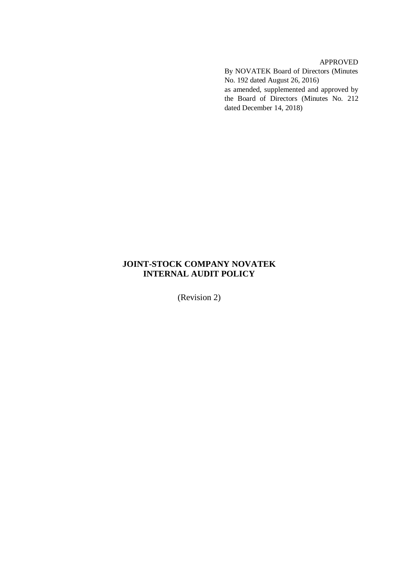APPROVED By NOVATEK Board of Directors (Minutes No. 192 dated August 26, 2016) as amended, supplemented and approved by the Board of Directors (Minutes No. 212 dated December 14, 2018)

# **JOINT-STOCK COMPANY NOVATEK INTERNAL AUDIT POLICY**

(Revision 2)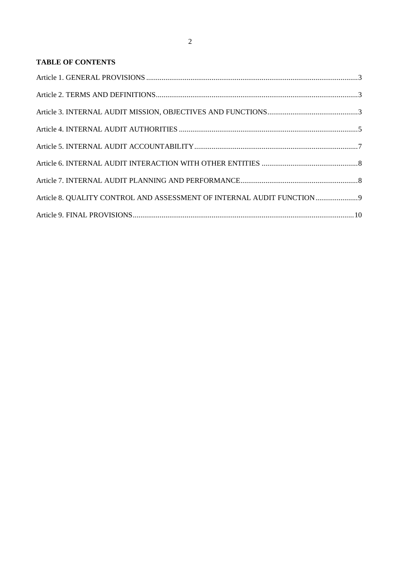# **TABLE OF CONTENTS**

| Article 8. QUALITY CONTROL AND ASSESSMENT OF INTERNAL AUDIT FUNCTION9 |  |
|-----------------------------------------------------------------------|--|
|                                                                       |  |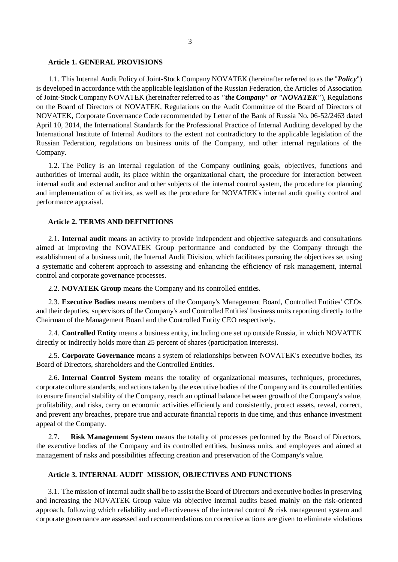#### <span id="page-2-0"></span>**Article 1. GENERAL PROVISIONS**

1.1. This Internal Audit Policy of Joint-Stock Company NOVATEK (hereinafter referred to as the "*Policy*") is developed in accordance with the applicable legislation of the Russian Federation, the Articles of Association of Joint-Stock Company NOVATEK (hereinafter referred to as *"the Company" or "NOVATEK"*), Regulations on the Board of Directors of NOVATEK, Regulations on the Audit Committee of the Board of Directors of NOVATEK, Corporate Governance Code recommended by Letter of the Bank of Russia No. 06-52/2463 dated April 10, 2014, the International Standards for the Professional Practice of Internal Auditing developed by the International Institute of Internal Auditors to the extent not contradictory to the applicable legislation of the Russian Federation, regulations on business units of the Company, and other internal regulations of the Company.

1.2. The Policy is an internal regulation of the Company outlining goals, objectives, functions and authorities of internal audit, its place within the organizational chart, the procedure for interaction between internal audit and external auditor and other subjects of the internal control system, the procedure for planning and implementation of activities, as well as the procedure for NOVATEK's internal audit quality control and performance appraisal.

### <span id="page-2-1"></span>**Article 2. TERMS AND DEFINITIONS**

2.1. **Internal audit** means an activity to provide independent and objective safeguards and consultations aimed at improving the NOVATEK Group performance and conducted by the Company through the establishment of a business unit, the Internal Audit Division, which facilitates pursuing the objectives set using a systematic and coherent approach to assessing and enhancing the efficiency of risk management, internal control and corporate governance processes.

2.2. **NOVATEK Group** means the Company and its controlled entities.

2.3. **Executive Bodies** means members of the Company's Management Board, Controlled Entities' CEOs and their deputies, supervisors of the Company's and Controlled Entities' business units reporting directly to the Chairman of the Management Board and the Controlled Entity CEO respectively.

2.4. **Controlled Entity** means a business entity, including one set up outside Russia, in which NOVATEK directly or indirectly holds more than 25 percent of shares (participation interests).

2.5. **Corporate Governance** means a system of relationships between NOVATEK's executive bodies, its Board of Directors, shareholders and the Controlled Entities.

2.6. **Internal Control System** means the totality of organizational measures, techniques, procedures, corporate culture standards, and actions taken by the executive bodies of the Company and its controlled entities to ensure financial stability of the Company, reach an optimal balance between growth of the Company's value, profitability, and risks, carry on economic activities efficiently and consistently, protect assets, reveal, correct, and prevent any breaches, prepare true and accurate financial reports in due time, and thus enhance investment appeal of the Company.

2.7. **Risk Management System** means the totality of processes performed by the Board of Directors, the executive bodies of the Company and its controlled entities, business units, and employees and aimed at management of risks and possibilities affecting creation and preservation of the Company's value.

### <span id="page-2-2"></span>**Article 3. INTERNAL AUDIT MISSION, OBJECTIVES AND FUNCTIONS**

3.1. The mission of internal audit shall be to assist the Board of Directors and executive bodies in preserving and increasing the NOVATEK Group value via objective internal audits based mainly on the risk-oriented approach, following which reliability and effectiveness of the internal control & risk management system and corporate governance are assessed and recommendations on corrective actions are given to eliminate violations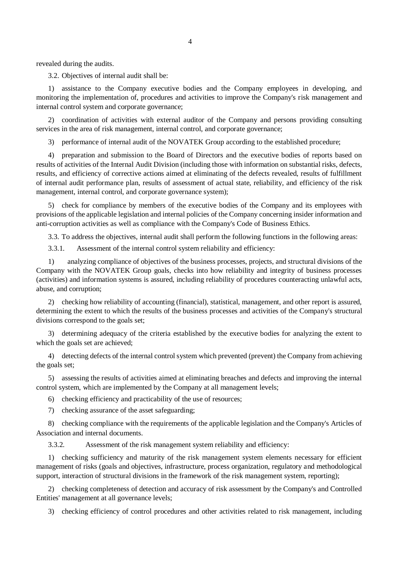3.2. Objectives of internal audit shall be:

1) assistance to the Company executive bodies and the Company employees in developing, and monitoring the implementation of, procedures and activities to improve the Company's risk management and internal control system and corporate governance;

2) coordination of activities with external auditor of the Company and persons providing consulting services in the area of risk management, internal control, and corporate governance;

3) performance of internal audit of the NOVATEK Group according to the established procedure;

4) preparation and submission to the Board of Directors and the executive bodies of reports based on results of activities of the Internal Audit Division (including those with information on substantial risks, defects, results, and efficiency of corrective actions aimed at eliminating of the defects revealed, results of fulfillment of internal audit performance plan, results of assessment of actual state, reliability, and efficiency of the risk management, internal control, and corporate governance system);

5) check for compliance by members of the executive bodies of the Company and its employees with provisions of the applicable legislation and internal policies of the Company concerning insider information and anti-corruption activities as well as compliance with the Company's Code of Business Ethics.

3.3. To address the objectives, internal audit shall perform the following functions in the following areas:

3.3.1. Assessment of the internal control system reliability and efficiency:

1) analyzing compliance of objectives of the business processes, projects, and structural divisions of the Company with the NOVATEK Group goals, checks into how reliability and integrity of business processes (activities) and information systems is assured, including reliability of procedures counteracting unlawful acts, abuse, and corruption;

2) checking how reliability of accounting (financial), statistical, management, and other report is assured, determining the extent to which the results of the business processes and activities of the Company's structural divisions correspond to the goals set;

3) determining adequacy of the criteria established by the executive bodies for analyzing the extent to which the goals set are achieved;

4) detecting defects of the internal control system which prevented (prevent) the Company from achieving the goals set;

5) assessing the results of activities aimed at eliminating breaches and defects and improving the internal control system, which are implemented by the Company at all management levels;

6) checking efficiency and practicability of the use of resources;

7) checking assurance of the asset safeguarding;

8) checking compliance with the requirements of the applicable legislation and the Company's Articles of Association and internal documents.

3.3.2. Assessment of the risk management system reliability and efficiency:

1) checking sufficiency and maturity of the risk management system elements necessary for efficient management of risks (goals and objectives, infrastructure, process organization, regulatory and methodological support, interaction of structural divisions in the framework of the risk management system, reporting);

2) checking completeness of detection and accuracy of risk assessment by the Company's and Controlled Entities' management at all governance levels;

3) checking efficiency of control procedures and other activities related to risk management, including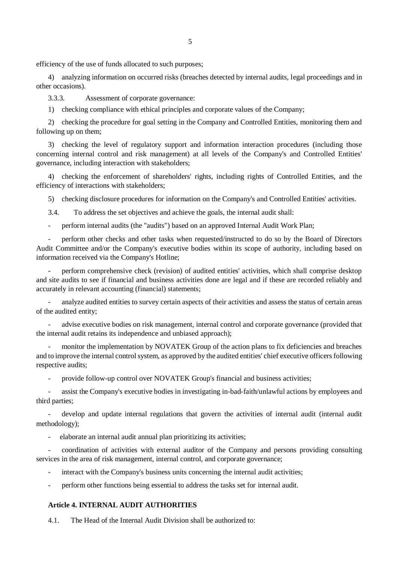efficiency of the use of funds allocated to such purposes;

4) analyzing information on occurred risks (breaches detected by internal audits, legal proceedings and in other occasions).

3.3.3. Assessment of corporate governance:

1) checking compliance with ethical principles and corporate values of the Company;

2) checking the procedure for goal setting in the Company and Controlled Entities, monitoring them and following up on them;

3) checking the level of regulatory support and information interaction procedures (including those concerning internal control and risk management) at all levels of the Company's and Controlled Entities' governance, including interaction with stakeholders;

4) checking the enforcement of shareholders' rights, including rights of Controlled Entities, and the efficiency of interactions with stakeholders;

5) checking disclosure procedures for information on the Company's and Controlled Entities' activities.

3.4. To address the set objectives and achieve the goals, the internal audit shall:

- perform internal audits (the "audits") based on an approved Internal Audit Work Plan;

- perform other checks and other tasks when requested/instructed to do so by the Board of Directors Audit Committee and/or the Company's executive bodies within its scope of authority, including based on information received via the Company's Hotline;

perform comprehensive check (revision) of audited entities' activities, which shall comprise desktop and site audits to see if financial and business activities done are legal and if these are recorded reliably and accurately in relevant accounting (financial) statements;

analyze audited entities to survey certain aspects of their activities and assess the status of certain areas of the audited entity;

- advise executive bodies on risk management, internal control and corporate governance (provided that the internal audit retains its independence and unbiased approach);

monitor the implementation by NOVATEK Group of the action plans to fix deficiencies and breaches and to improve the internal control system, as approved by the audited entities' chief executive officers following respective audits;

- provide follow-up control over NOVATEK Group's financial and business activities;

- assist the Company's executive bodies in investigating in-bad-faith/unlawful actions by employees and third parties;

- develop and update internal regulations that govern the activities of internal audit (internal audit methodology);

- elaborate an internal audit annual plan prioritizing its activities;

- coordination of activities with external auditor of the Company and persons providing consulting services in the area of risk management, internal control, and corporate governance;

interact with the Company's business units concerning the internal audit activities;

- perform other functions being essential to address the tasks set for internal audit.

# <span id="page-4-0"></span>**Article 4. INTERNAL AUDIT AUTHORITIES**

4.1. The Head of the Internal Audit Division shall be authorized to: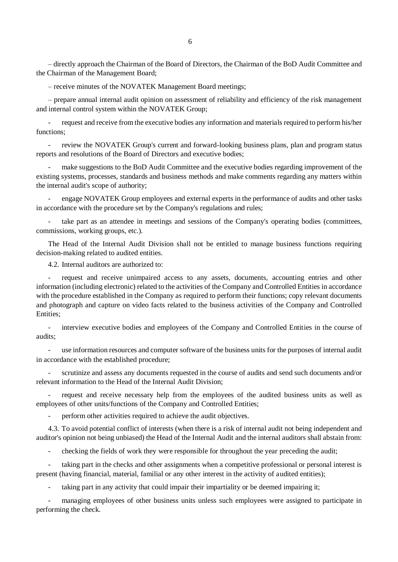– directly approach the Chairman of the Board of Directors, the Chairman of the BoD Audit Committee and the Chairman of the Management Board;

– receive minutes of the NOVATEK Management Board meetings;

– prepare annual internal audit opinion on assessment of reliability and efficiency of the risk management and internal control system within the NOVATEK Group;

request and receive from the executive bodies any information and materials required to perform his/her functions;

review the NOVATEK Group's current and forward-looking business plans, plan and program status reports and resolutions of the Board of Directors and executive bodies;

make suggestions to the BoD Audit Committee and the executive bodies regarding improvement of the existing systems, processes, standards and business methods and make comments regarding any matters within the internal audit's scope of authority;

- engage NOVATEK Group employees and external experts in the performance of audits and other tasks in accordance with the procedure set by the Company's regulations and rules;

take part as an attendee in meetings and sessions of the Company's operating bodies (committees, commissions, working groups, etc.).

The Head of the Internal Audit Division shall not be entitled to manage business functions requiring decision-making related to audited entities.

4.2. Internal auditors are authorized to:

request and receive unimpaired access to any assets, documents, accounting entries and other information (including electronic) related to the activities of the Company and Controlled Entities in accordance with the procedure established in the Company as required to perform their functions; copy relevant documents and photograph and capture on video facts related to the business activities of the Company and Controlled Entities;

interview executive bodies and employees of the Company and Controlled Entities in the course of audits;

use information resources and computer software of the business units for the purposes of internal audit in accordance with the established procedure;

scrutinize and assess any documents requested in the course of audits and send such documents and/or relevant information to the Head of the Internal Audit Division;

- request and receive necessary help from the employees of the audited business units as well as employees of other units/functions of the Company and Controlled Entities;

perform other activities required to achieve the audit objectives.

4.3. To avoid potential conflict of interests (when there is a risk of internal audit not being independent and auditor's opinion not being unbiased) the Head of the Internal Audit and the internal auditors shall abstain from:

- checking the fields of work they were responsible for throughout the year preceding the audit;

- taking part in the checks and other assignments when a competitive professional or personal interest is present (having financial, material, familial or any other interest in the activity of audited entities);

taking part in any activity that could impair their impartiality or be deemed impairing it;

managing employees of other business units unless such employees were assigned to participate in performing the check.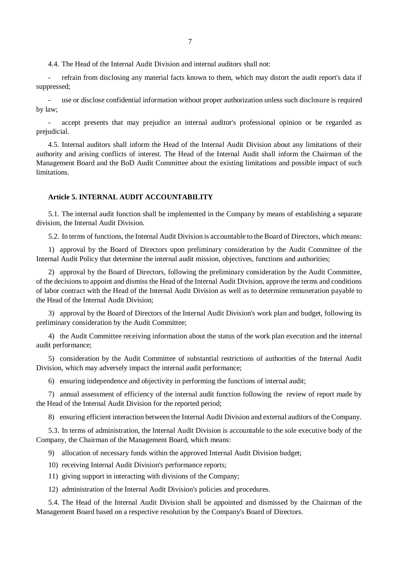4.4. The Head of the Internal Audit Division and internal auditors shall not:

- refrain from disclosing any material facts known to them, which may distort the audit report's data if suppressed;

use or disclose confidential information without proper authorization unless such disclosure is required by law;

accept presents that may prejudice an internal auditor's professional opinion or be regarded as prejudicial.

4.5. Internal auditors shall inform the Head of the Internal Audit Division about any limitations of their authority and arising conflicts of interest. The Head of the Internal Audit shall inform the Chairman of the Management Board and the BoD Audit Committee about the existing limitations and possible impact of such limitations.

# <span id="page-6-0"></span>**Article 5. INTERNAL AUDIT ACCOUNTABILITY**

5.1. The internal audit function shall be implemented in the Company by means of establishing a separate division, the Internal Audit Division.

5.2. In terms of functions, the Internal Audit Division is accountable to the Board of Directors, which means:

1) approval by the Board of Directors upon preliminary consideration by the Audit Committee of the Internal Audit Policy that determine the internal audit mission, objectives, functions and authorities;

2) approval by the Board of Directors, following the preliminary consideration by the Audit Committee, of the decisions to appoint and dismiss the Head of the Internal Audit Division, approve the terms and conditions of labor contract with the Head of the Internal Audit Division as well as to determine remuneration payable to the Head of the Internal Audit Division;

3) approval by the Board of Directors of the Internal Audit Division's work plan and budget, following its preliminary consideration by the Audit Committee;

4) the Audit Committee receiving information about the status of the work plan execution and the internal audit performance;

5) consideration by the Audit Committee of substantial restrictions of authorities of the Internal Audit Division, which may adversely impact the internal audit performance;

6) ensuring independence and objectivity in performing the functions of internal audit;

7) annual assessment of efficiency of the internal audit function following the review of report made by the Head of the Internal Audit Division for the reported period;

8) ensuring efficient interaction between the Internal Audit Division and external auditors of the Company.

5.3. In terms of administration, the Internal Audit Division is accountable to the sole executive body of the Company, the Chairman of the Management Board, which means:

9) allocation of necessary funds within the approved Internal Audit Division budget;

- 10) receiving Internal Audit Division's performance reports;
- 11) giving support in interacting with divisions of the Company;

12) administration of the Internal Audit Division's policies and procedures.

5.4. The Head of the Internal Audit Division shall be appointed and dismissed by the Chairman of the Management Board based on a respective resolution by the Company's Board of Directors.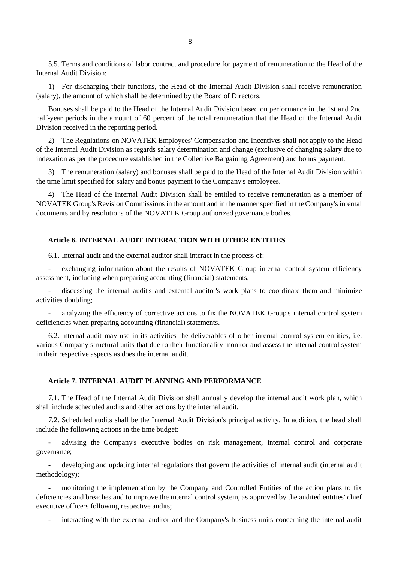5.5. Terms and conditions of labor contract and procedure for payment of remuneration to the Head of the Internal Audit Division:

1) For discharging their functions, the Head of the Internal Audit Division shall receive remuneration (salary), the amount of which shall be determined by the Board of Directors.

Bonuses shall be paid to the Head of the Internal Audit Division based on performance in the 1st and 2nd half-year periods in the amount of 60 percent of the total remuneration that the Head of the Internal Audit Division received in the reporting period.

2) The Regulations on NOVATEK Employees' Compensation and Incentives shall not apply to the Head of the Internal Audit Division as regards salary determination and change (exclusive of changing salary due to indexation as per the procedure established in the Collective Bargaining Agreement) and bonus payment.

3) The remuneration (salary) and bonuses shall be paid to the Head of the Internal Audit Division within the time limit specified for salary and bonus payment to the Company's employees.

4) The Head of the Internal Audit Division shall be entitled to receive remuneration as a member of NOVATEK Group's Revision Commissions in the amount and in the manner specified in the Company's internal documents and by resolutions of the NOVATEK Group authorized governance bodies.

# <span id="page-7-0"></span>**Article 6. INTERNAL AUDIT INTERACTION WITH OTHER ENTITIES**

6.1. Internal audit and the external auditor shall interact in the process of:

exchanging information about the results of NOVATEK Group internal control system efficiency assessment, including when preparing accounting (financial) statements;

- discussing the internal audit's and external auditor's work plans to coordinate them and minimize activities doubling;

analyzing the efficiency of corrective actions to fix the NOVATEK Group's internal control system deficiencies when preparing accounting (financial) statements.

6.2. Internal audit may use in its activities the deliverables of other internal control system entities, i.e. various Company structural units that due to their functionality monitor and assess the internal control system in their respective aspects as does the internal audit.

#### <span id="page-7-1"></span>**Article 7. INTERNAL AUDIT PLANNING AND PERFORMANCE**

7.1. The Head of the Internal Audit Division shall annually develop the internal audit work plan, which shall include scheduled audits and other actions by the internal audit.

7.2. Scheduled audits shall be the Internal Audit Division's principal activity. In addition, the head shall include the following actions in the time budget:

- advising the Company's executive bodies on risk management, internal control and corporate governance;

- developing and updating internal regulations that govern the activities of internal audit (internal audit methodology);

monitoring the implementation by the Company and Controlled Entities of the action plans to fix deficiencies and breaches and to improve the internal control system, as approved by the audited entities' chief executive officers following respective audits;

interacting with the external auditor and the Company's business units concerning the internal audit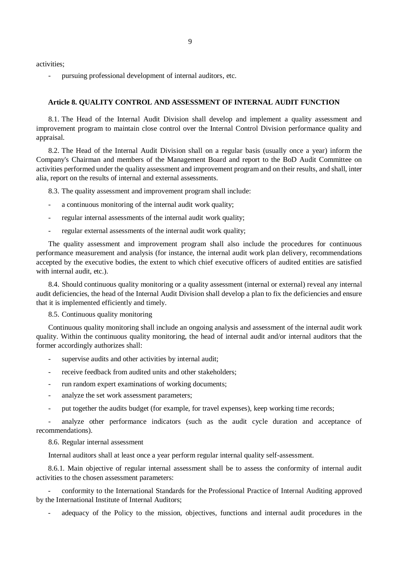9

activities;

<span id="page-8-0"></span>pursuing professional development of internal auditors, etc.

### **Article 8. QUALITY CONTROL AND ASSESSMENT OF INTERNAL AUDIT FUNCTION**

8.1. The Head of the Internal Audit Division shall develop and implement a quality assessment and improvement program to maintain close control over the Internal Control Division performance quality and appraisal.

8.2. The Head of the Internal Audit Division shall on a regular basis (usually once a year) inform the Company's Chairman and members of the Management Board and report to the BoD Audit Committee on activities performed under the quality assessment and improvement program and on their results, and shall, inter alia, report on the results of internal and external assessments.

8.3. The quality assessment and improvement program shall include:

- a continuous monitoring of the internal audit work quality;
- regular internal assessments of the internal audit work quality;
- regular external assessments of the internal audit work quality;

The quality assessment and improvement program shall also include the procedures for continuous performance measurement and analysis (for instance, the internal audit work plan delivery, recommendations accepted by the executive bodies, the extent to which chief executive officers of audited entities are satisfied with internal audit, etc.).

8.4. Should continuous quality monitoring or a quality assessment (internal or external) reveal any internal audit deficiencies, the head of the Internal Audit Division shall develop a plan to fix the deficiencies and ensure that it is implemented efficiently and timely.

8.5. Continuous quality monitoring

Continuous quality monitoring shall include an ongoing analysis and assessment of the internal audit work quality. Within the continuous quality monitoring, the head of internal audit and/or internal auditors that the former accordingly authorizes shall:

- supervise audits and other activities by internal audit;
- receive feedback from audited units and other stakeholders;
- run random expert examinations of working documents;
- analyze the set work assessment parameters;
- put together the audits budget (for example, for travel expenses), keep working time records;

- analyze other performance indicators (such as the audit cycle duration and acceptance of recommendations).

# 8.6. Regular internal assessment

Internal auditors shall at least once a year perform regular internal quality self-assessment.

8.6.1. Main objective of regular internal assessment shall be to assess the conformity of internal audit activities to the chosen assessment parameters:

- conformity to the International Standards for the Professional Practice of Internal Auditing approved by the International Institute of Internal Auditors;

adequacy of the Policy to the mission, objectives, functions and internal audit procedures in the